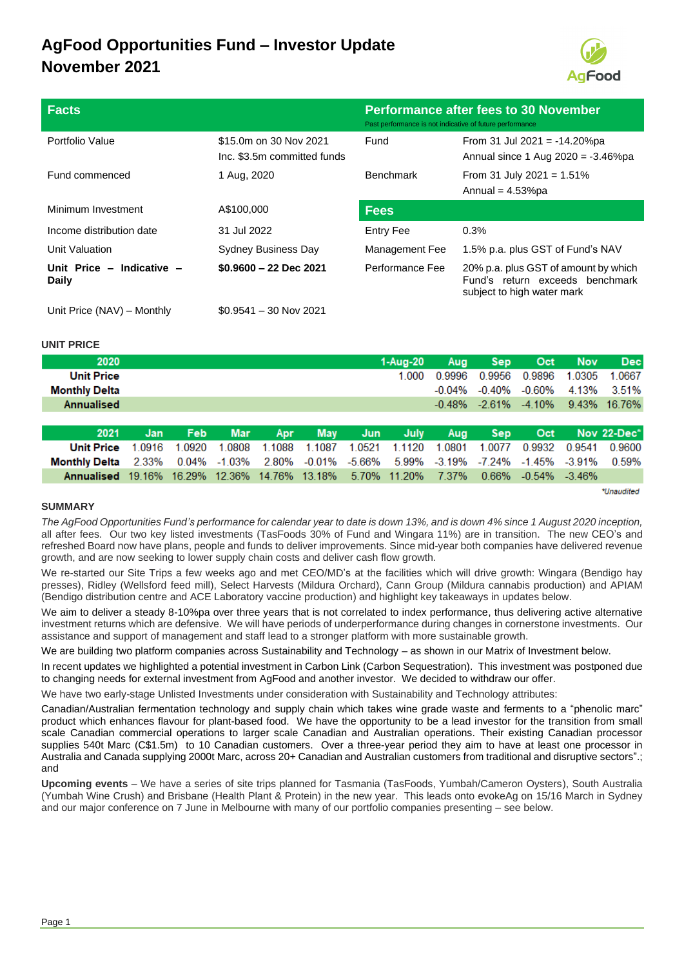## **AgFood Opportunities Fund – Investor Update November 2021**



| <b>Facts</b>                       |                                                       | <b>Performance after fees to 30 November</b><br>Past performance is not indicative of future performance |                                                                                                       |  |  |
|------------------------------------|-------------------------------------------------------|----------------------------------------------------------------------------------------------------------|-------------------------------------------------------------------------------------------------------|--|--|
| Portfolio Value                    | \$15.0m on 30 Nov 2021<br>Inc. \$3.5m committed funds | Fund                                                                                                     | From 31 Jul 2021 = $-14.20\%$ pa<br>Annual since 1 Aug $2020 = -3.46\%$ pa                            |  |  |
| Fund commenced                     | 1 Aug, 2020                                           | <b>Benchmark</b>                                                                                         | From 31 July 2021 = $1.51\%$<br>Annual = $4.53\%$ pa                                                  |  |  |
| Minimum Investment                 | A\$100,000                                            | <b>Fees</b>                                                                                              |                                                                                                       |  |  |
| Income distribution date           | 31 Jul 2022                                           | Entry Fee                                                                                                | 0.3%                                                                                                  |  |  |
| Unit Valuation                     | <b>Sydney Business Day</b>                            | Management Fee                                                                                           | 1.5% p.a. plus GST of Fund's NAV                                                                      |  |  |
| Unit Price - Indicative -<br>Daily | $$0.9600 - 22$ Dec 2021                               | Performance Fee                                                                                          | 20% p.a. plus GST of amount by which<br>Fund's return exceeds benchmark<br>subject to high water mark |  |  |
| Unit Price (NAV) - Monthly         | $$0.9541 - 30$ Nov 2021                               |                                                                                                          |                                                                                                       |  |  |

#### **UNIT PRICE**

| 2020                                                                                   |        |        |            |        |            |        | 1-Aug-20     | Aug       | <b>Sep</b> | Oct                 | <b>Nov</b> | <b>Dec</b>   |
|----------------------------------------------------------------------------------------|--------|--------|------------|--------|------------|--------|--------------|-----------|------------|---------------------|------------|--------------|
| <b>Unit Price</b>                                                                      |        |        |            |        |            |        | 1.000        | 0.9996    | 0.9956     | 0.9896              | 1.0305     | 1.0667       |
| <b>Monthly Delta</b>                                                                   |        |        |            |        |            |        |              | -0.04%    | -0.40%     | -0.60%              | 4.13%      | 3.51%        |
| Annualised                                                                             |        |        |            |        |            |        |              | $-0.48\%$ |            | $-2.61\% -4.10\%$   |            | 9.43% 16.76% |
|                                                                                        |        |        |            |        |            |        |              |           |            |                     |            |              |
| 2021                                                                                   | Jan.   | Feb    | <b>Mar</b> | Apr    | <b>May</b> | Jun    | July         | Aug       | <b>Sep</b> | Oct                 |            | Nov 22-Dec*  |
| <b>Unit Price</b>                                                                      | 1.0916 | 1.0920 | 1.0808     | 1.1088 | 1.1087     | 1.0521 | 1.1120       | 1.0801    | 1.0077     | 0.9932              | 0.9541     | 0.9600       |
| Monthly Delta 2.33% 0.04% -1.03% 2.80% -0.01% -5.66% 5.99% -3.19% -7.24% -1.45% -3.91% |        |        |            |        |            |        |              |           |            |                     |            | 0.59%        |
| Annualised 19.16% 16.29% 12.36% 14.76% 13.18%                                          |        |        |            |        |            |        | 5.70% 11.20% | 7.37%     | 0.66%      | $-0.54\%$ $-3.46\%$ |            |              |

\*Unaudited

#### **SUMMARY**

*The AgFood Opportunities Fund's performance for calendar year to date is down 13%, and is down 4% since 1 August 2020 inception,* all after fees. Our two key listed investments (TasFoods 30% of Fund and Wingara 11%) are in transition. The new CEO's and refreshed Board now have plans, people and funds to deliver improvements. Since mid-year both companies have delivered revenue growth, and are now seeking to lower supply chain costs and deliver cash flow growth.

We re-started our Site Trips a few weeks ago and met CEO/MD's at the facilities which will drive growth: Wingara (Bendigo hay presses), Ridley (Wellsford feed mill), Select Harvests (Mildura Orchard), Cann Group (Mildura cannabis production) and APIAM (Bendigo distribution centre and ACE Laboratory vaccine production) and highlight key takeaways in updates below.

We aim to deliver a steady 8-10%pa over three years that is not correlated to index performance, thus delivering active alternative investment returns which are defensive. We will have periods of underperformance during changes in cornerstone investments. Our assistance and support of management and staff lead to a stronger platform with more sustainable growth.

We are building two platform companies across Sustainability and Technology – as shown in our Matrix of Investment below.

In recent updates we highlighted a potential investment in Carbon Link (Carbon Sequestration). This investment was postponed due to changing needs for external investment from AgFood and another investor. We decided to withdraw our offer.

We have two early-stage Unlisted Investments under consideration with Sustainability and Technology attributes:

Canadian/Australian fermentation technology and supply chain which takes wine grade waste and ferments to a "phenolic marc" product which enhances flavour for plant-based food. We have the opportunity to be a lead investor for the transition from small scale Canadian commercial operations to larger scale Canadian and Australian operations. Their existing Canadian processor supplies 540t Marc (C\$1.5m) to 10 Canadian customers. Over a three-year period they aim to have at least one processor in Australia and Canada supplying 2000t Marc, across 20+ Canadian and Australian customers from traditional and disruptive sectors".; and

**Upcoming events** – We have a series of site trips planned for Tasmania (TasFoods, Yumbah/Cameron Oysters), South Australia (Yumbah Wine Crush) and Brisbane (Health Plant & Protein) in the new year. This leads onto evokeAg on 15/16 March in Sydney and our major conference on 7 June in Melbourne with many of our portfolio companies presenting – see below.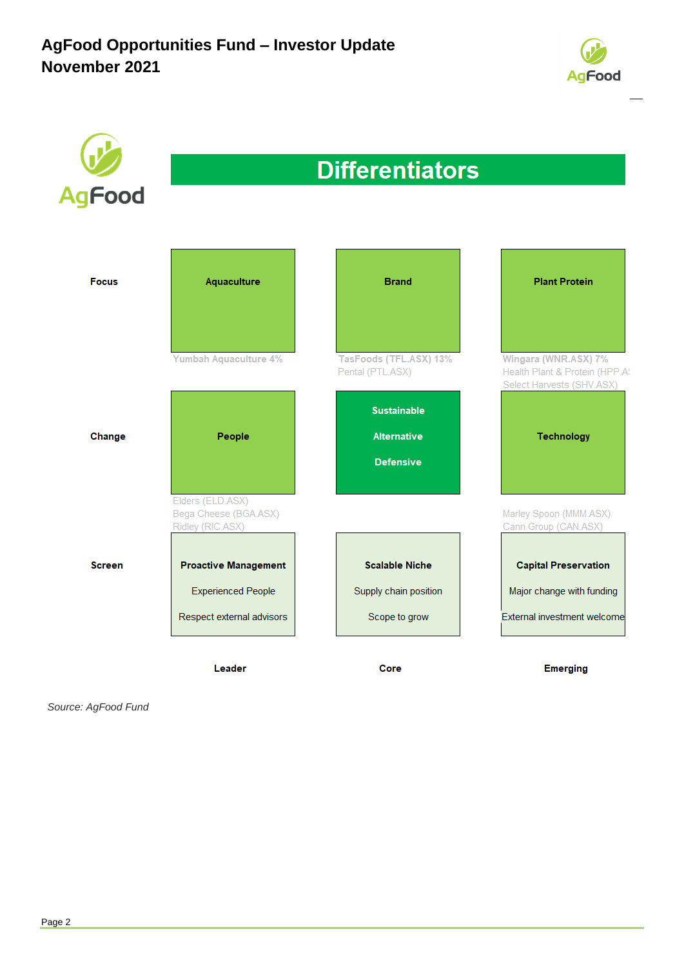



*Source: AgFood Fund*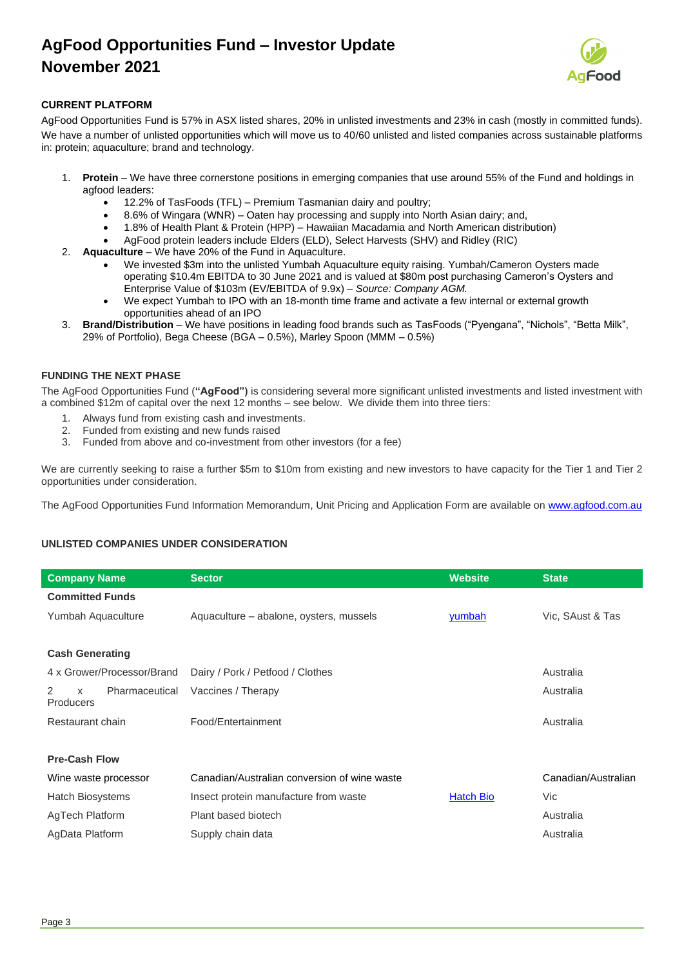## **AgFood Opportunities Fund – Investor Update November 2021**



### **CURRENT PLATFORM**

AgFood Opportunities Fund is 57% in ASX listed shares, 20% in unlisted investments and 23% in cash (mostly in committed funds). We have a number of unlisted opportunities which will move us to 40/60 unlisted and listed companies across sustainable platforms in: protein; aquaculture; brand and technology.

- 1. **Protein** We have three cornerstone positions in emerging companies that use around 55% of the Fund and holdings in agfood leaders:
	- 12.2% of TasFoods (TFL) Premium Tasmanian dairy and poultry;
	- 8.6% of Wingara (WNR) Oaten hay processing and supply into North Asian dairy; and,
	- 1.8% of Health Plant & Protein (HPP) Hawaiian Macadamia and North American distribution)
	- AgFood protein leaders include Elders (ELD), Select Harvests (SHV) and Ridley (RIC)
- 2. **Aquaculture** We have 20% of the Fund in Aquaculture.
	- We invested \$3m into the unlisted Yumbah Aquaculture equity raising. Yumbah/Cameron Oysters made operating \$10.4m EBITDA to 30 June 2021 and is valued at \$80m post purchasing Cameron's Oysters and Enterprise Value of \$103m (EV/EBITDA of 9.9x) – *Source: Company AGM.*
	- We expect Yumbah to IPO with an 18-month time frame and activate a few internal or external growth opportunities ahead of an IPO
- 3. **Brand/Distribution** We have positions in leading food brands such as TasFoods ("Pyengana", "Nichols", "Betta Milk", 29% of Portfolio), Bega Cheese (BGA – 0.5%), Marley Spoon (MMM – 0.5%)

#### **FUNDING THE NEXT PHASE**

The AgFood Opportunities Fund (**"AgFood")** is considering several more significant unlisted investments and listed investment with a combined \$12m of capital over the next 12 months – see below. We divide them into three tiers:

- 1. Always fund from existing cash and investments.
- 2. Funded from existing and new funds raised
- 3. Funded from above and co-investment from other investors (for a fee)

We are currently seeking to raise a further \$5m to \$10m from existing and new investors to have capacity for the Tier 1 and Tier 2 opportunities under consideration.

The AgFood Opportunities Fund Information Memorandum, Unit Pricing and Application Form are available on [www.agfood.com.au](http://www.agfood.com.au/)

### **UNLISTED COMPANIES UNDER CONSIDERATION**

| <b>Company Name</b>                          | <b>Sector</b>                                | <b>Website</b>   | <b>State</b>        |  |
|----------------------------------------------|----------------------------------------------|------------------|---------------------|--|
| <b>Committed Funds</b>                       |                                              |                  |                     |  |
| Yumbah Aquaculture                           | Aquaculture – abalone, oysters, mussels      | yumbah           | Vic, SAust & Tas    |  |
|                                              |                                              |                  |                     |  |
| <b>Cash Generating</b>                       |                                              |                  |                     |  |
| 4 x Grower/Processor/Brand                   | Dairy / Pork / Petfood / Clothes             | Australia        |                     |  |
| 2<br>Pharmaceutical<br>$\times$<br>Producers | Vaccines / Therapy                           |                  | Australia           |  |
| Restaurant chain                             | Food/Entertainment                           |                  | Australia           |  |
|                                              |                                              |                  |                     |  |
| <b>Pre-Cash Flow</b>                         |                                              |                  |                     |  |
| Wine waste processor                         | Canadian/Australian conversion of wine waste |                  | Canadian/Australian |  |
| <b>Hatch Biosystems</b>                      | Insect protein manufacture from waste        | <b>Hatch Bio</b> | Vic                 |  |
| AgTech Platform                              | Plant based biotech                          |                  | Australia           |  |
| AgData Platform                              | Supply chain data                            |                  | Australia           |  |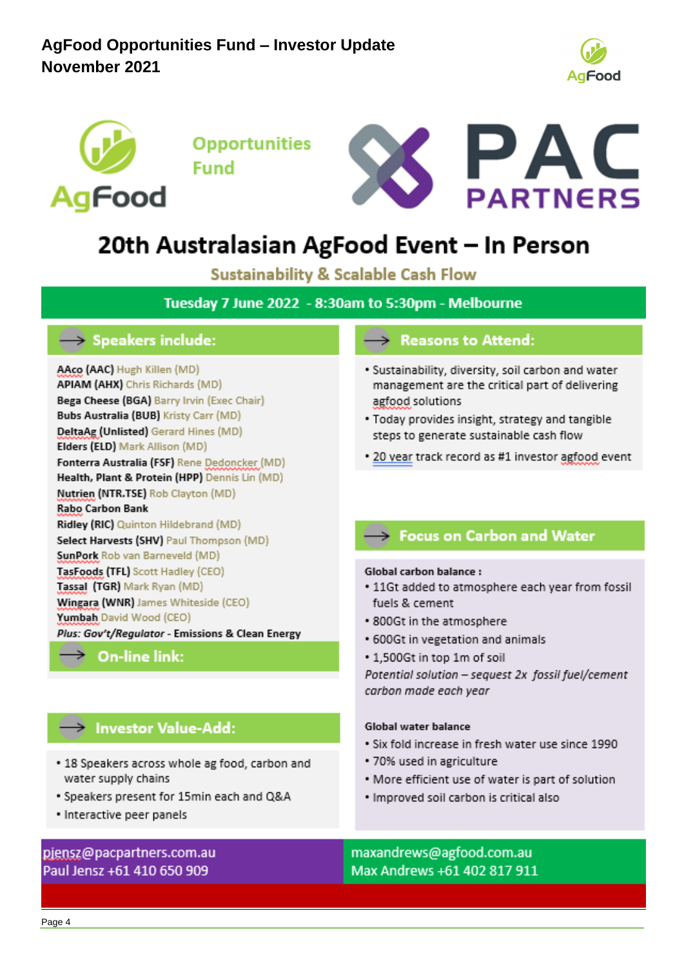



**Opportunities Fund** 



# 20th Australasian AgFood Event - In Person

**Sustainability & Scalable Cash Flow** 

Tuesday 7 June 2022 - 8:30am to 5:30pm - Melbourne

## $\rightarrow$  Speakers include:

AAco (AAC) Hugh Killen (MD) **APIAM (AHX)** Chris Richards (MD) Bega Cheese (BGA) Barry Irvin (Exec Chair) **Bubs Australia (BUB) Kristy Carr (MD)** DeltaAg (Unlisted) Gerard Hines (MD) Elders (ELD) Mark Allison (MD) Fonterra Australia (FSF) Rene Dedoncker (MD) Health, Plant & Protein (HPP) Dennis Lin (MD) Nutrien (NTR.TSE) Rob Clayton (MD) Rabo Carbon Bank Ridley (RIC) Quinton Hildebrand (MD) Select Harvests (SHV) Paul Thompson (MD) SunPork Rob van Barneveld (MD) TasFoods (TFL) Scott Hadley (CEO) Tassal (TGR) Mark Ryan (MD) Wingara (WNR) James Whiteside (CEO) Yumbah David Wood (CEO) Plus: Gov't/Regulator - Emissions & Clean Energy

## $\rightarrow$  On-line link:

## $\rightarrow$  Investor Value-Add:

- 18 Speakers across whole ag food, carbon and water supply chains
- Speakers present for 15min each and Q&A
- · Interactive peer panels

### piensz@pacpartners.com.au Paul Jensz +61 410 650 909

## $\rightarrow$  Reasons to Attend:

- · Sustainability, diversity, soil carbon and water management are the critical part of delivering agfood solutions
- . Today provides insight, strategy and tangible steps to generate sustainable cash flow
- . 20 year track record as #1 investor agfood event

## $\rightarrow$  Focus on Carbon and Water

### Global carbon balance:

- . 11Gt added to atmosphere each year from fossil fuels & cement
- 800Gt in the atmosphere
- 600Gt in vegetation and animals
- 1,500Gt in top 1m of soil

Potential solution - sequest 2x fossil fuel/cement carbon made each year

### Global water balance

- Six fold increase in fresh water use since 1990
- 70% used in agriculture
- More efficient use of water is part of solution
- · Improved soil carbon is critical also

maxandrews@agfood.com.au Max Andrews +61 402 817 911